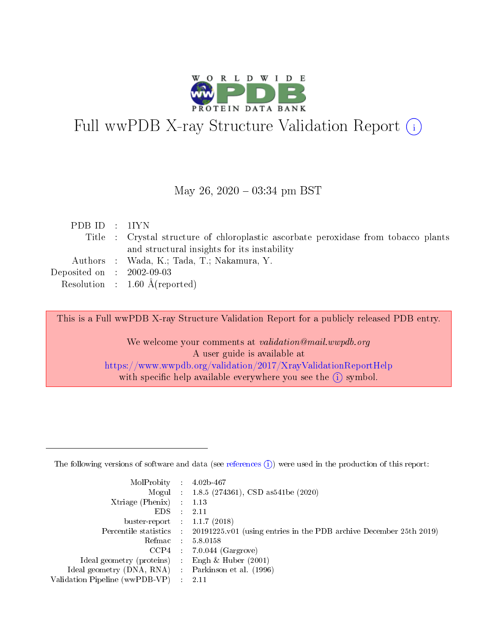

# Full wwPDB X-ray Structure Validation Report (i)

#### May 26,  $2020 - 03:34$  pm BST

| PDB ID : 1IYN                        |                                                                                     |
|--------------------------------------|-------------------------------------------------------------------------------------|
|                                      | Title : Crystal structure of chloroplastic ascorbate peroxidase from tobacco plants |
|                                      | and structural insights for its instability                                         |
|                                      | Authors : Wada, K.; Tada, T.; Nakamura, Y.                                          |
| Deposited on $\therefore$ 2002-09-03 |                                                                                     |
|                                      | Resolution : $1.60 \text{ Å}$ (reported)                                            |

This is a Full wwPDB X-ray Structure Validation Report for a publicly released PDB entry.

We welcome your comments at validation@mail.wwpdb.org A user guide is available at <https://www.wwpdb.org/validation/2017/XrayValidationReportHelp> with specific help available everywhere you see the  $(i)$  symbol.

The following versions of software and data (see [references](https://www.wwpdb.org/validation/2017/XrayValidationReportHelp#references)  $(1)$ ) were used in the production of this report:

| MolProbity                     | $\mathcal{L}_{\rm{max}}$ | $4.02b - 467$                                                                |
|--------------------------------|--------------------------|------------------------------------------------------------------------------|
|                                |                          | Mogul : $1.8.5$ (274361), CSD as 541be (2020)                                |
| $X$ triage (Phenix) :          |                          | 1.13                                                                         |
| EDS.                           |                          | 2.11                                                                         |
| buster-report : $1.1.7$ (2018) |                          |                                                                              |
| Percentile statistics :        |                          | $20191225 \text{ v}01$ (using entries in the PDB archive December 25th 2019) |
| Refmac                         |                          | 5.8.0158                                                                     |
| $CCP4$ :                       |                          | $7.0.044$ (Gargrove)                                                         |
| Ideal geometry (proteins) :    |                          | Engh $\&$ Huber (2001)                                                       |
| Ideal geometry (DNA, RNA) :    |                          | Parkinson et al. (1996)                                                      |
| Validation Pipeline (wwPDB-VP) | $\mathcal{L}$            | -2.11                                                                        |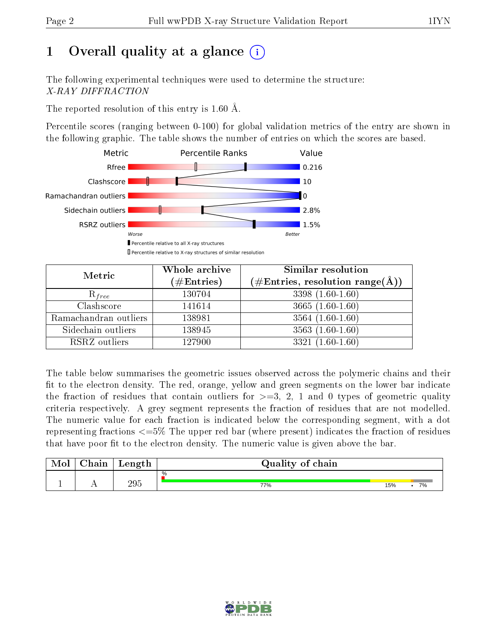# 1 [O](https://www.wwpdb.org/validation/2017/XrayValidationReportHelp#overall_quality)verall quality at a glance  $(i)$

The following experimental techniques were used to determine the structure: X-RAY DIFFRACTION

The reported resolution of this entry is 1.60 Å.

Percentile scores (ranging between 0-100) for global validation metrics of the entry are shown in the following graphic. The table shows the number of entries on which the scores are based.



| Metric                | Whole archive<br>$(\#\text{Entries})$ | Similar resolution<br>$(\#\text{Entries},\,\text{resolution}\,\,\text{range}(\textup{\AA}))$ |  |  |
|-----------------------|---------------------------------------|----------------------------------------------------------------------------------------------|--|--|
| $R_{free}$            | 130704                                | $3398(1.60-1.60)$                                                                            |  |  |
| Clashscore            | 141614                                | 3665 $(1.60-1.60)$                                                                           |  |  |
| Ramachandran outliers | 138981                                | $3564(1.60-1.60)$                                                                            |  |  |
| Sidechain outliers    | 138945                                | $3563(1.60-1.60)$                                                                            |  |  |
| RSRZ outliers         | 127900                                | $3321(1.60-1.60)$                                                                            |  |  |

The table below summarises the geometric issues observed across the polymeric chains and their fit to the electron density. The red, orange, yellow and green segments on the lower bar indicate the fraction of residues that contain outliers for  $>=3, 2, 1$  and 0 types of geometric quality criteria respectively. A grey segment represents the fraction of residues that are not modelled. The numeric value for each fraction is indicated below the corresponding segment, with a dot representing fractions  $\epsilon=5\%$  The upper red bar (where present) indicates the fraction of residues that have poor fit to the electron density. The numeric value is given above the bar.

| Mol | $\cap$ hain | Length | Quality of chain |     |    |
|-----|-------------|--------|------------------|-----|----|
|     |             |        | %                |     |    |
| л.  | . .         | 295    | 77%              | 15% | 7% |

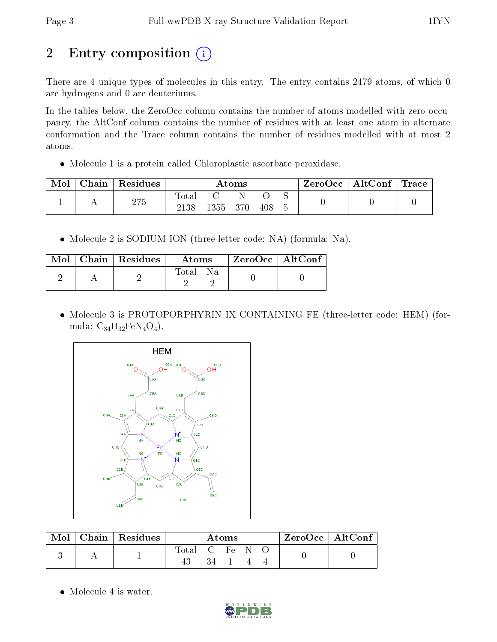# 2 Entry composition (i)

There are 4 unique types of molecules in this entry. The entry contains 2479 atoms, of which 0 are hydrogens and 0 are deuteriums.

In the tables below, the ZeroOcc column contains the number of atoms modelled with zero occupancy, the AltConf column contains the number of residues with at least one atom in alternate conformation and the Trace column contains the number of residues modelled with at most 2 atoms.

Molecule 1 is a protein called Chloroplastic ascorbate peroxidase.

| Mol | ${\rm Chain}$ | Residues | $\rm{Atoms}$        |      |     |     |  | $\text{ZeroOcc} \mid \text{AltConf} \mid \text{Trace}$ |  |
|-----|---------------|----------|---------------------|------|-----|-----|--|--------------------------------------------------------|--|
|     |               | 275      | $\rm Total$<br>2138 | 1355 | 370 | 408 |  |                                                        |  |

Molecule 2 is SODIUM ION (three-letter code: NA) (formula: Na).

|  | $\text{Mol}$   Chain   Residues | Atoms    | ZeroOcc   AltConf |  |
|--|---------------------------------|----------|-------------------|--|
|  |                                 | Total Na |                   |  |

 Molecule 3 is PROTOPORPHYRIN IX CONTAINING FE (three-letter code: HEM) (formula:  $C_{34}H_{32}FeN_4O_4$ .



| Mol |  | Chain   Residues | Atoms |                                    |    | ZeroOcc   AltConf |  |  |
|-----|--|------------------|-------|------------------------------------|----|-------------------|--|--|
|     |  |                  | Total | $\cdots$ . $\alpha$ . The $\alpha$ | Fe |                   |  |  |
|     |  |                  |       |                                    |    |                   |  |  |

• Molecule 4 is water.

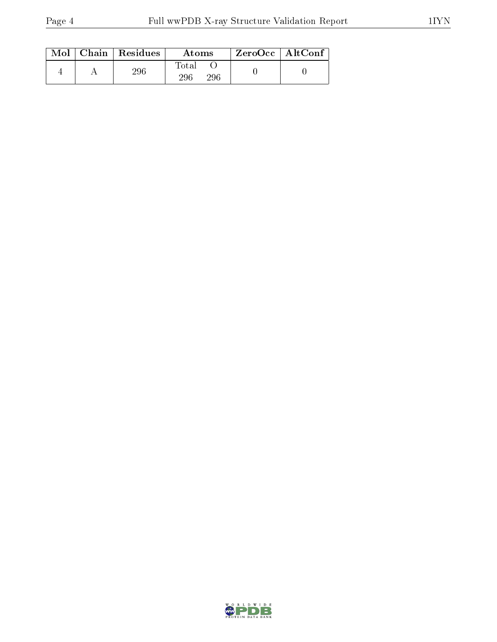|  | $Mol$   Chain   Residues | Atoms                     | $\rm ZeroOcc$   AltConf |  |
|--|--------------------------|---------------------------|-------------------------|--|
|  | 296                      | $\rm Total$<br>296<br>296 |                         |  |

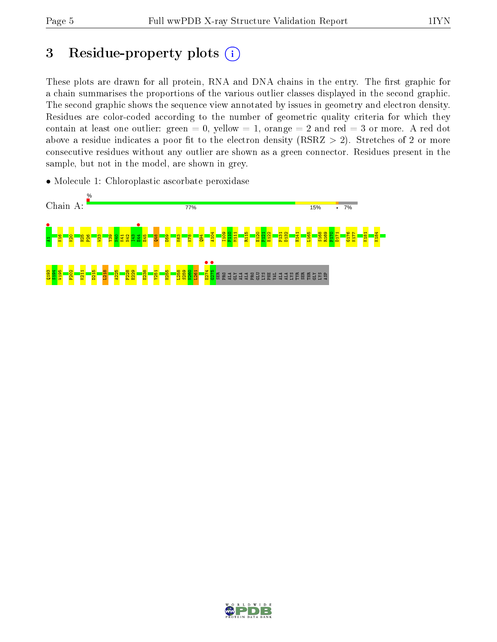# 3 Residue-property plots  $(i)$

These plots are drawn for all protein, RNA and DNA chains in the entry. The first graphic for a chain summarises the proportions of the various outlier classes displayed in the second graphic. The second graphic shows the sequence view annotated by issues in geometry and electron density. Residues are color-coded according to the number of geometric quality criteria for which they contain at least one outlier: green  $= 0$ , yellow  $= 1$ , orange  $= 2$  and red  $= 3$  or more. A red dot above a residue indicates a poor fit to the electron density (RSRZ  $> 2$ ). Stretches of 2 or more consecutive residues without any outlier are shown as a green connector. Residues present in the sample, but not in the model, are shown in grey.

• Molecule 1: Chloroplastic ascorbate peroxidase



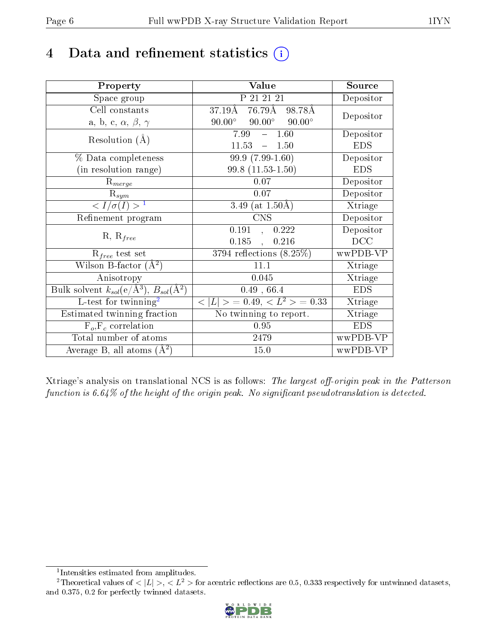# 4 Data and refinement statistics  $(i)$

| Property                                                         | Value                                             | Source     |
|------------------------------------------------------------------|---------------------------------------------------|------------|
| Space group                                                      | P 21 21 21                                        | Depositor  |
| Cell constants                                                   | $76.79\text{\AA}$<br>$37.19\text{\AA}$<br>98.78Å  | Depositor  |
| a, b, c, $\alpha$ , $\beta$ , $\gamma$                           | $90.00^\circ$<br>$90.00^\circ$<br>$90.00^{\circ}$ |            |
| Resolution $(A)$                                                 | $-1.60$<br>7.99                                   | Depositor  |
|                                                                  | 11.53<br>$\equiv$ .<br>1.50                       | <b>EDS</b> |
| % Data completeness                                              | $99.9(7.99-1.60)$                                 | Depositor  |
| (in resolution range)                                            | $99.8(11.53-1.50)$                                | <b>EDS</b> |
| $R_{merge}$                                                      | 0.07                                              | Depositor  |
| $\mathrm{R}_{sym}$                                               | 0.07                                              | Depositor  |
| $\langle I/\sigma(I) \rangle^{-1}$                               | 3.49 (at $1.50\text{\AA}$ )                       | Xtriage    |
| Refinement program                                               | <b>CNS</b>                                        | Depositor  |
|                                                                  | 0.191<br>0.222<br>$\overline{\phantom{a}}$        | Depositor  |
| $R, R_{free}$                                                    | 0.185<br>0.216<br>$\ddot{\phantom{a}}$            | DCC        |
| $R_{free}$ test set                                              | $3794$ reflections $(8.25\%)$                     | wwPDB-VP   |
| Wilson B-factor $(A^2)$                                          | 11.1                                              | Xtriage    |
| Anisotropy                                                       | 0.045                                             | Xtriage    |
| Bulk solvent $k_{sol}(\text{e}/\text{A}^3), B_{sol}(\text{A}^2)$ | $0.49$ , $66.4$                                   | <b>EDS</b> |
| L-test for twinning <sup>2</sup>                                 | $< L >$ = 0.49, $< L^2 >$ = 0.33                  | Xtriage    |
| Estimated twinning fraction                                      | $\overline{\text{No}}$ twinning to report.        | Xtriage    |
| $F_o, F_c$ correlation                                           | 0.95                                              | <b>EDS</b> |
| Total number of atoms                                            | 2479                                              | wwPDB-VP   |
| Average B, all atoms $(A^2)$                                     | 15.0                                              | wwPDB-VP   |

Xtriage's analysis on translational NCS is as follows: The largest off-origin peak in the Patterson function is  $6.64\%$  of the height of the origin peak. No significant pseudotranslation is detected.

<sup>&</sup>lt;sup>2</sup>Theoretical values of  $\langle |L| \rangle$ ,  $\langle L^2 \rangle$  for acentric reflections are 0.5, 0.333 respectively for untwinned datasets, and 0.375, 0.2 for perfectly twinned datasets.



<span id="page-5-1"></span><span id="page-5-0"></span><sup>1</sup> Intensities estimated from amplitudes.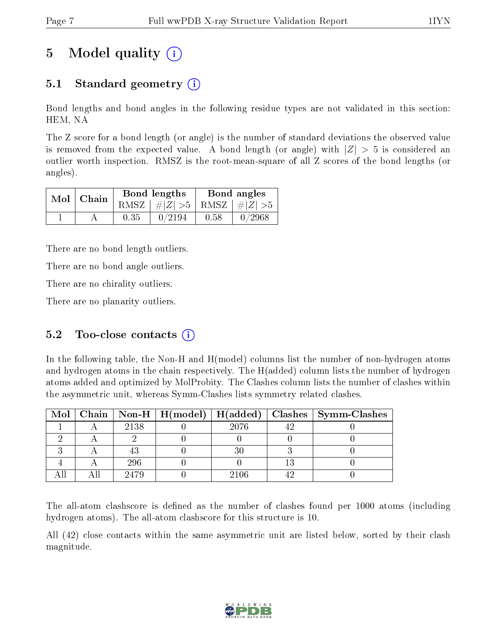# 5 Model quality  $(i)$

## 5.1 Standard geometry  $(i)$

Bond lengths and bond angles in the following residue types are not validated in this section: HEM, NA

The Z score for a bond length (or angle) is the number of standard deviations the observed value is removed from the expected value. A bond length (or angle) with  $|Z| > 5$  is considered an outlier worth inspection. RMSZ is the root-mean-square of all Z scores of the bond lengths (or angles).

|  | $Mol$   Chain |      | Bond lengths                    | Bond angles |  |  |
|--|---------------|------|---------------------------------|-------------|--|--|
|  |               |      | RMSZ $ #Z  > 5$ RMSZ $ #Z  > 5$ |             |  |  |
|  |               | 0.35 | 0/2194                          | 0.58        |  |  |

There are no bond length outliers.

There are no bond angle outliers.

There are no chirality outliers.

There are no planarity outliers.

### 5.2 Too-close contacts  $(i)$

In the following table, the Non-H and H(model) columns list the number of non-hydrogen atoms and hydrogen atoms in the chain respectively. The H(added) column lists the number of hydrogen atoms added and optimized by MolProbity. The Clashes column lists the number of clashes within the asymmetric unit, whereas Symm-Clashes lists symmetry related clashes.

|  |      |      | Mol   Chain   Non-H   H(model)   H(added)   Clashes   Symm-Clashes |
|--|------|------|--------------------------------------------------------------------|
|  | 2138 | 2076 |                                                                    |
|  |      |      |                                                                    |
|  |      |      |                                                                    |
|  | 296  |      |                                                                    |
|  | 2479 | 2106 |                                                                    |

The all-atom clashscore is defined as the number of clashes found per 1000 atoms (including hydrogen atoms). The all-atom clashscore for this structure is 10.

All (42) close contacts within the same asymmetric unit are listed below, sorted by their clash magnitude.

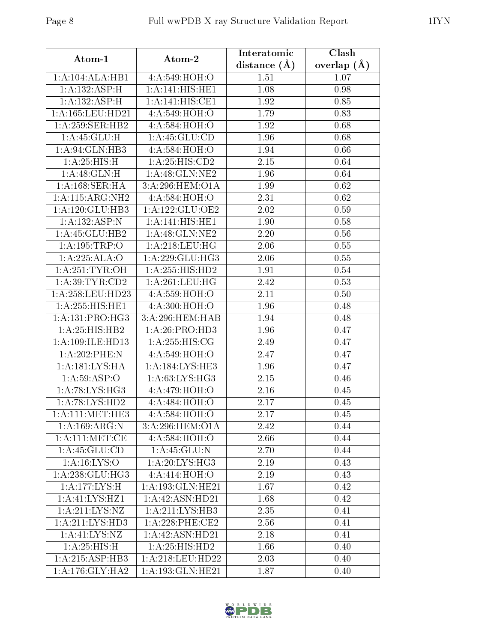| Atom-1                             | Atom-2             | Interatomic    | Clash         |  |
|------------------------------------|--------------------|----------------|---------------|--|
|                                    |                    | distance $(A)$ | overlap $(A)$ |  |
| 1:A:104:ALA:HB1                    | 4:A:549:HOH:O      | 1.51           | 1.07          |  |
| 1:A:132:ASP:H                      | 1:A:141:HIS:HE1    | 1.08           | 0.98          |  |
| 1: A: 132: ASP:H                   | 1:A:141:HIS:CE1    | 1.92           | 0.85          |  |
| 1:A:165:LEU:HD21                   | 4:A:549:HOH:O      | 1.79           | 0.83          |  |
| 1:A:259:SER:HB2                    | 4: A:584: HOH:O    | 1.92           | 0.68          |  |
| 1: A:45: GLU:H                     | 1: A: 45: GLU: CD  | 1.96           | 0.68          |  |
| 1:A:94:GLN:HB3                     | 4:A:584:HOH:O      | 1.94           | 0.66          |  |
| 1: A:25: HIS:H                     | 1:A:25:HIS:CD2     | 2.15           | 0.64          |  |
| 1: A:48: GLN:H                     | 1: A:48: GLN:NE2   | 1.96           | 0.64          |  |
| 1: A: 168: SER: HA                 | 3:A:296:HEM:O1A    | 1.99           | 0.62          |  |
| 1:A:115:ARG:NH2                    | 4: A:584: HOH:O    | 2.31           | 0.62          |  |
| 1:A:120:GLU:HB3                    | 1:A:122:GLU:OE2    | 2.02           | 0.59          |  |
| 1:A:132:ASP:N                      | 1: A:141: HIS: HE1 | 1.90           | 0.58          |  |
| 1:A:45:GLU:HB2                     | 1: A:48: GLN:NE2   | 2.20           | 0.56          |  |
| 1:A:195:TRP:O                      | 1: A:218:LEU:HG    | 2.06           | 0.55          |  |
| 1:A:225:ALA:O                      | 1: A:229: GLU:HG3  | 2.06           | 0.55          |  |
| 1:A:251:TYR:OH                     | 1: A:255: HIS: HD2 | 1.91           | 0.54          |  |
| 1: A:39:TYR:CD2                    | 1: A:261:LEU:HG    | 2.42           | 0.53          |  |
| 1:A:258:LEU:HD23                   | 4:A:559:HOH:O      | 2.11           | 0.50          |  |
| 1:A:255:HIS:HE1                    | 4:A:300:HOH:O      | 1.96           | 0.48          |  |
| 1:A:131:PRO:HG3                    | 3:A:296:HEM:HAB    | 1.94           | 0.48          |  |
| 1: A:25: HIS: HB2                  | 1: A:26: PRO:HD3   | 1.96           | 0.47          |  |
| 1:A:109:ILE:HD13                   | 1: A:255: HIS: CG  | 2.49           | 0.47          |  |
| 1:A:202:PHE:N                      | 4:A:549:HOH:O      | 2.47           | 0.47          |  |
| 1: A: 181: LYS: HA                 | 1: A:184:LYS:HE3   | 1.96           | 0.47          |  |
| 1: A:59: ASP:O                     | 1: A:63: LYS: HG3  | 2.15           | 0.46          |  |
| 1: A:78: LYS:HG3                   | 4:A:479:HOH:O      | 2.16           | 0.45          |  |
| 1:A:78:LYS:HD2                     | 4:A:484:HOH:O      | 2.17           | 0.45          |  |
| 1: A: 111: MET: HE3                | 4:A:584:HOH:O      | 2.17           | 0.45          |  |
| 1: A: 169: ARG: N                  | 3:A:296:HEM:O1A    | 2.42           | 0.44          |  |
| 1:A:111:MET:CE                     | 4:A:584:HOH:O      | 2.66           | 0.44          |  |
| 1: A: 45: GLU: CD                  | 1:A:45:GLU:N       | 2.70           | 0.44          |  |
| 1: A:16: LYS:O                     | 1:A:20:LYS:HG3     | 2.19           | 0.43          |  |
| 1:A:238:GLU:HG3                    | 4:A:414:HOH:O      | 2.19           | 0.43          |  |
| 1:A:177:LYS:H                      | 1:A:193:GLN:HE21   | 1.67           | 0.42          |  |
| $1:A:41:\overline{\text{LYS:HZ1}}$ | 1:A:42:ASN:HD21    | 1.68           | 0.42          |  |
| 1: A:211:LYS:NZ                    | 1:A:211:LYS:HB3    | 2.35           | 0.41          |  |
| 1:A:211:LYS:HD3                    | 1:A:228:PHE:CE2    | 2.56           | 0.41          |  |
| 1:A:41:LYS:NZ                      | 1:A:42:ASN:HD21    | 2.18           | 0.41          |  |
| 1: A:25: HIS:H                     | 1:A:25:HIS:HD2     | 1.66           | 0.40          |  |
| 1:A:215:ASP:HB3                    | 1:A:218:LEU:HD22   | 2.03           | 0.40          |  |
| 1: A:176: GLY:HA2                  | 1:A:193:GLN:HE21   | 1.87           | 0.40          |  |



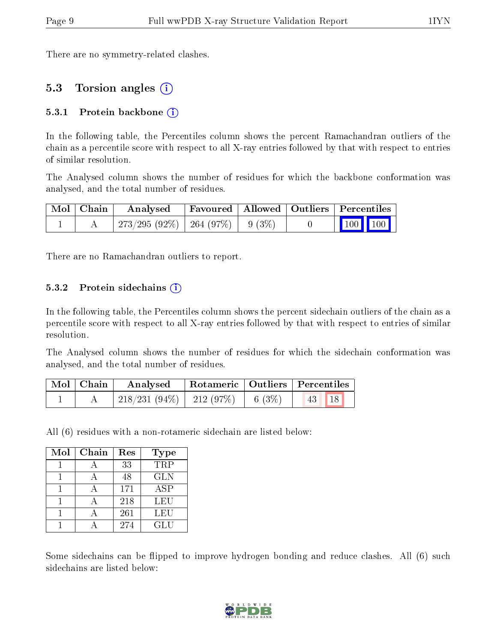There are no symmetry-related clashes.

### 5.3 Torsion angles (i)

#### 5.3.1 Protein backbone  $(i)$

In the following table, the Percentiles column shows the percent Ramachandran outliers of the chain as a percentile score with respect to all X-ray entries followed by that with respect to entries of similar resolution.

The Analysed column shows the number of residues for which the backbone conformation was analysed, and the total number of residues.

| $\mid$ Mol $\mid$ Chain $\mid$ | Analysed                                |  | Favoured   Allowed   Outliers   Percentiles |                                        |  |
|--------------------------------|-----------------------------------------|--|---------------------------------------------|----------------------------------------|--|
|                                | $1273/295(92\%)$   264 (97\%)   9 (3\%) |  |                                             | $\boxed{100}$ $\boxed{100}$ $\boxed{}$ |  |

There are no Ramachandran outliers to report.

#### 5.3.2 Protein sidechains  $(i)$

In the following table, the Percentiles column shows the percent sidechain outliers of the chain as a percentile score with respect to all X-ray entries followed by that with respect to entries of similar resolution.

The Analysed column shows the number of residues for which the sidechain conformation was analysed, and the total number of residues.

| $\mid$ Mol $\mid$ Chain $\mid$ | Analysed                           |  | Rotameric   Outliers   Percentiles |  |
|--------------------------------|------------------------------------|--|------------------------------------|--|
|                                | 218/231 (94%)   212 (97%)   6 (3%) |  | 18 <br> 43                         |  |

All (6) residues with a non-rotameric sidechain are listed below:

| Mol | Chain | Res | Type       |
|-----|-------|-----|------------|
|     |       | 33  | <b>TRP</b> |
|     |       | 48  | <b>GLN</b> |
|     |       | 171 | <b>ASP</b> |
|     |       | 218 | LEU        |
|     |       | 261 | LEU        |
|     |       | 274 | GLU        |

Some sidechains can be flipped to improve hydrogen bonding and reduce clashes. All (6) such sidechains are listed below:

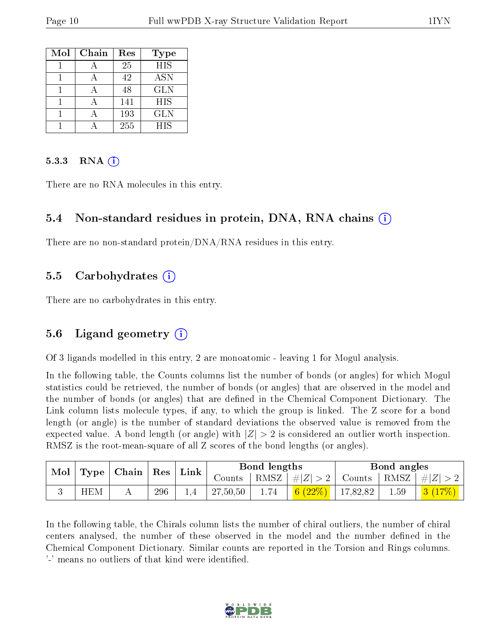| Mol | Chain | Res | <b>Type</b> |
|-----|-------|-----|-------------|
|     |       | 25  | <b>HIS</b>  |
|     |       | 42  | <b>ASN</b>  |
|     |       | 48  | <b>GLN</b>  |
|     |       | 141 | <b>HIS</b>  |
|     |       | 193 | GLN         |
|     |       | 255 | <b>HIS</b>  |

#### 5.3.3 RNA  $(i)$

There are no RNA molecules in this entry.

### 5.4 Non-standard residues in protein, DNA, RNA chains (i)

There are no non-standard protein/DNA/RNA residues in this entry.

#### 5.5 Carbohydrates (i)

There are no carbohydrates in this entry.

### 5.6 Ligand geometry  $(i)$

Of 3 ligands modelled in this entry, 2 are monoatomic - leaving 1 for Mogul analysis.

In the following table, the Counts columns list the number of bonds (or angles) for which Mogul statistics could be retrieved, the number of bonds (or angles) that are observed in the model and the number of bonds (or angles) that are dened in the Chemical Component Dictionary. The Link column lists molecule types, if any, to which the group is linked. The Z score for a bond length (or angle) is the number of standard deviations the observed value is removed from the expected value. A bond length (or angle) with  $|Z| > 2$  is considered an outlier worth inspection. RMSZ is the root-mean-square of all Z scores of the bond lengths (or angles).

| Mol |            | $\mid$ Type $\mid$ Chain $\mid$ Res $\mid$ Link $\mid$ |     |  | Bond lengths |      |                                                                             | Bond angles |      |                                  |
|-----|------------|--------------------------------------------------------|-----|--|--------------|------|-----------------------------------------------------------------------------|-------------|------|----------------------------------|
|     |            |                                                        |     |  | Counts       |      | $ RMSZ  \#  Z  > 2$                                                         |             |      | Counts   RMSZ $\vert \#  Z  > 2$ |
|     | <b>HEM</b> |                                                        | 296 |  | 27,50,50     | 1.74 | $\begin{array}{ c c c c c c c c } \hline 6 & (22\%) & 17,82,82 \end{array}$ |             | 1.59 | 3(17%)                           |

In the following table, the Chirals column lists the number of chiral outliers, the number of chiral centers analysed, the number of these observed in the model and the number defined in the Chemical Component Dictionary. Similar counts are reported in the Torsion and Rings columns. '-' means no outliers of that kind were identified.

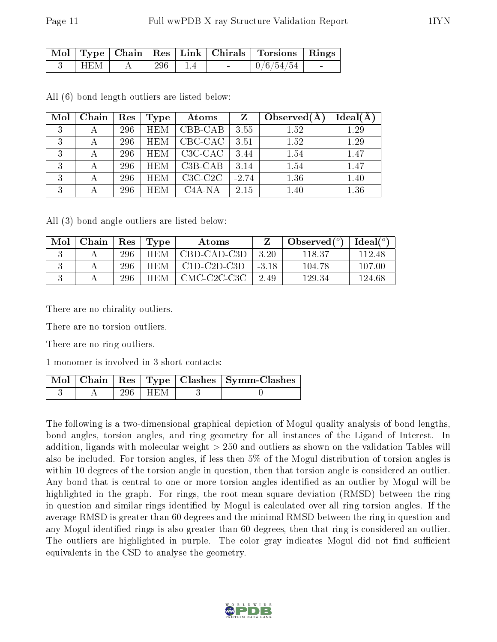|     |     |                          | Mol   Type   Chain   Res   Link   Chirals   Torsions   Rings |        |
|-----|-----|--------------------------|--------------------------------------------------------------|--------|
| HEM | 296 | <b>Contract Contract</b> | 0/6/54/54                                                    | $\sim$ |

All (6) bond length outliers are listed below:

| Mol          | Chain | Res | <b>Type</b> | Atoms     | Z       | Observed $(A)$ | $Ideal(\AA)$ |
|--------------|-------|-----|-------------|-----------|---------|----------------|--------------|
| 3            |       | 296 | <b>HEM</b>  | CBB-CAB   | 3.55    | 1.52           | 1.29         |
| 3            | А     | 296 | <b>HEM</b>  | CBC-CAC   | 3.51    | 1.52           | 1.29         |
| 3            | А     | 296 | <b>HEM</b>  | C3C-CAC   | 3.44    | 1.54           | 1.47         |
| २<br>$\cdot$ |       | 296 | <b>HEM</b>  | $C3B-CAB$ | 3.14    | 1.54           | 1.47         |
| 3            |       | 296 | <b>HEM</b>  | $C3C-C2C$ | $-2.74$ | 1.36           | 1.40         |
| 3            |       | 296 | <b>HEM</b>  | $C4A-NA$  | 2.15    | 1.40           | 1.36         |

All (3) bond angle outliers are listed below:

| Mol | Chain | <b>Res</b> | Type       | Atoms         |         | Observed $(°)$ | Ideal(°) |
|-----|-------|------------|------------|---------------|---------|----------------|----------|
|     |       | 296        | HEM        | CBD-CAD-C3D   | 3.20    | 118.37         | 112.48   |
|     |       | 296        | <b>HEM</b> | $C1D-C2D-C3D$ | $-3.18$ | 104.78         | 107.00   |
|     |       | 296        | HEM.       | CMC-C2C-C3C   | 2.49    | 129.34         | 124.68   |

There are no chirality outliers.

There are no torsion outliers.

There are no ring outliers.

1 monomer is involved in 3 short contacts:

|  |           | Mol   Chain   Res   Type   Clashes   Symm-Clashes |
|--|-----------|---------------------------------------------------|
|  | 296   HEM |                                                   |

The following is a two-dimensional graphical depiction of Mogul quality analysis of bond lengths, bond angles, torsion angles, and ring geometry for all instances of the Ligand of Interest. In addition, ligands with molecular weight > 250 and outliers as shown on the validation Tables will also be included. For torsion angles, if less then 5% of the Mogul distribution of torsion angles is within 10 degrees of the torsion angle in question, then that torsion angle is considered an outlier. Any bond that is central to one or more torsion angles identified as an outlier by Mogul will be highlighted in the graph. For rings, the root-mean-square deviation (RMSD) between the ring in question and similar rings identified by Mogul is calculated over all ring torsion angles. If the average RMSD is greater than 60 degrees and the minimal RMSD between the ring in question and any Mogul-identied rings is also greater than 60 degrees, then that ring is considered an outlier. The outliers are highlighted in purple. The color gray indicates Mogul did not find sufficient equivalents in the CSD to analyse the geometry.

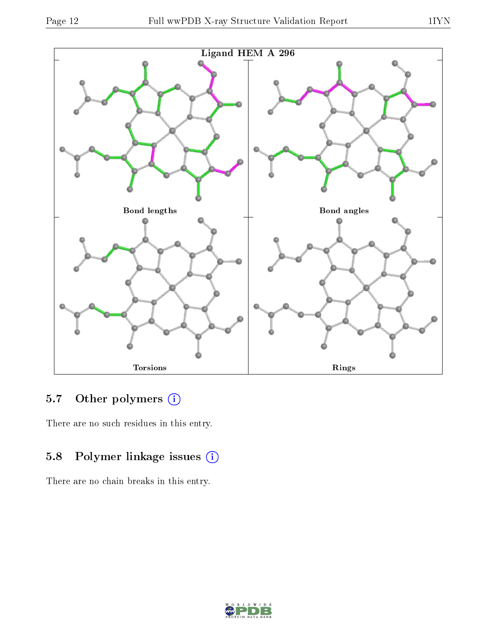



## 5.7 [O](https://www.wwpdb.org/validation/2017/XrayValidationReportHelp#nonstandard_residues_and_ligands)ther polymers (i)

There are no such residues in this entry.

## 5.8 Polymer linkage issues (i)

There are no chain breaks in this entry.

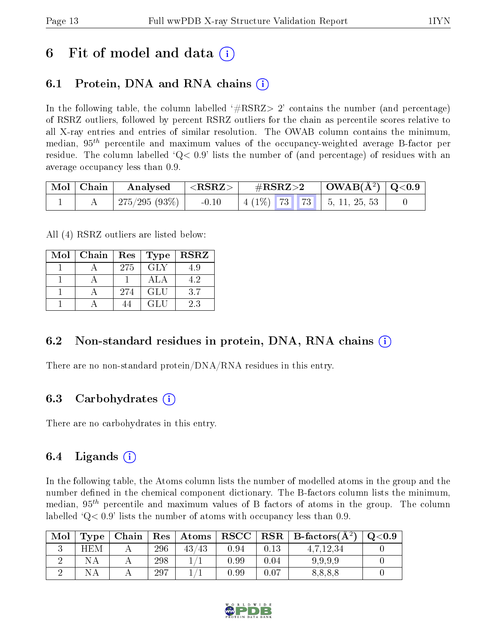# 6 Fit of model and data  $\left( \cdot \right)$

## 6.1 Protein, DNA and RNA chains (i)

In the following table, the column labelled  $#RSRZ>2'$  contains the number (and percentage) of RSRZ outliers, followed by percent RSRZ outliers for the chain as percentile scores relative to all X-ray entries and entries of similar resolution. The OWAB column contains the minimum, median,  $95<sup>th</sup>$  percentile and maximum values of the occupancy-weighted average B-factor per residue. The column labelled  $Q < 0.9$  lists the number of (and percentage) of residues with an average occupancy less than 0.9.

| Mol   Chain | $\boldsymbol{\mathrm{Analysed}}$ | $^{-1}$ <rsrz> <math>^{-1}</math></rsrz> | $\rm \#RSRZ{>}2$ |  | $\vert$ OWAB( $\rm \AA^2)$ $\vert$ Q<0.9 $\vert$ |  |
|-------------|----------------------------------|------------------------------------------|------------------|--|--------------------------------------------------|--|
|             | 275/295 (93%)                    | $-0.10$                                  |                  |  | $\mid$ 4 (1%) 73 73 $\mid$ 5, 11, 25, 53         |  |

All (4) RSRZ outliers are listed below:

| Mol | $\mid$ Chain | $\operatorname{Res}$ | Type       | <b>RSRZ</b> |
|-----|--------------|----------------------|------------|-------------|
|     |              | 275                  | <b>GLY</b> | 4.9         |
|     |              |                      | ALA        | 4.2         |
|     |              | 274                  | GLU        | 3.7         |
|     |              |                      | GLU        | 2.3         |

### 6.2 Non-standard residues in protein, DNA, RNA chains  $(i)$

There are no non-standard protein/DNA/RNA residues in this entry.

## 6.3 Carbohydrates (i)

There are no carbohydrates in this entry.

## 6.4 Ligands  $(i)$

In the following table, the Atoms column lists the number of modelled atoms in the group and the number defined in the chemical component dictionary. The B-factors column lists the minimum, median,  $95<sup>th</sup>$  percentile and maximum values of B factors of atoms in the group. The column labelled  $Q< 0.9$  lists the number of atoms with occupancy less than 0.9.

| Mol | Type | Chain | Res | $\boldsymbol{\mathrm{Atoms}}$ | RSCC | $\mid$ RSR $\mid$ | B-factors $(\AA^2)$ | Q <sub>0.9</sub> |
|-----|------|-------|-----|-------------------------------|------|-------------------|---------------------|------------------|
|     | HEM  |       | 296 | ′43<br>43                     | 0.94 | 0.13              | 4,7,12,34           |                  |
|     |      |       | 298 |                               | 0.99 | 0.04              | 9,9,9,9             |                  |
|     |      |       | 297 |                               | 0.99 | 0.07              | 8,8,8,8             |                  |